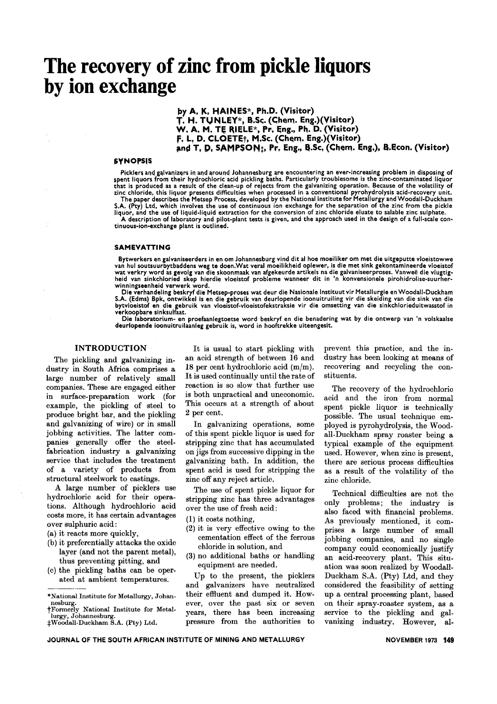# **The recovery of zinc from pickle liquors by ion exchange**

by A. K. HAINES\*, Ph.D. (Visitor)  $T.$  H. TUNLEY\*, B.Sc. (Chem. Eng.)(Visitor) W. A. M. TE RIELE\*, Pr. Eng., Ph. D. (Visitor) F. L. D. CLOETE<sub>T</sub>, M.Sc. (Chem. Eng.)(Visitor) and T. D. SAMPSON<sub>1</sub>, Pr. Eng., B.Sc. (Chem. Eng.). B.Econ. (Visitor)

#### SYNOPSIS

Picklers and galvanizers in and around Johannesburg are encountering an ever-increasing problem in disposing of spent liquors from their hydrochloric acid pickling baths. Particularly troublesome is the zinc-contaminated liquor that is produced as a result of the clean-up of rejects from the galvanizing operation. Because of the volatility of zinc chloride. this liquor presents difficulties when processed in a conventional pyrohydrolysis acid-recovery unit. The paper describes the Metsep Process, developed by the National Institute for Metallurgy and Woodall-Duckha S.A. (Pty) Ltd. which involves the use of continuous ion exchange for the separation of the zinc from the pickle

liquor. and the use of liquid-liquid extraction for the conversion of zinc chloride eluate to salable zinc sulphate. A description of laboratory and pilot-plant tests is given. and the approach used in the design of a full-scale continuous-ion-exchange plant is outlined.

#### SAMEVATTING

Bytwerkers en galvaniseerders in en om Johannesburg vind dit al hoe moeiliker om met die uitgeputte vloeistoww<br>van hul soutsuurbytbaddens weg te doen.Wat veral moeilikheid oplewer, is die met sink gekontamineerde vloeisto<br> winningseenheid verwerk word.

Die verhandeling beskryf die Metsep-proses wat deur die Nasionale Instituut vir Metallurgie en Woodall-Duckham S.A. (Edms) Bpk, ontwikkel is en die gebruik van deurlopende ioonuitruiling vir die skeiding van die sink van die<br>bytvloeistof en die gebruik van vloeistof-vloeistofekstraksie vir die omsetting van die sinkchlorieduitwasst verkoopbare sinksulfaat.

Die laboratorium- en proefaanlegtoetse word beskryf en die benadering wat by die ontwerp van 'n volskaalse deurlopende ioonuitruilaanleg gebruik is, word in hooftrekke uiteengesit.

#### INTRODUCTION

The pickling and galvanizing industry in South Africa comprises a large number of relatively small companies. These are engaged either in surface-preparation work (for example, the pickling of steel to produce bright bar, and the pickling and galvanizing of wire) or in small jobbing activities. The latter companies generally offer the steelfabrication industry a galvanizing service that includes the treatment of a variety of products from structural steelwork to castings.

A large number of picklers use hydrochloric acid for their operations. Although hydrochloric acid costs more, it has certain advantages over sulphuric acid:

- (a) it reacts more quickly,
- (b) it preferentially attacks the oxide layer (and not the parent metal), thus preventing pitting, and
- (c) the pickling baths can be operated at ambient temperatures.

It is usual to start pickling with an acid strength of between 16 and 18 per cent hydrochloric acid (m/m). It is used continually until the rate of reaction is so slow that further use is both unpractical and uneconomic. This occurs at a strength of about 2 per cent.

In galvanizing operations, some of this spent pickle liquor is used for stripping zinc that has accumulated on jigs from successive dipping in the galvanizing bath. In addition, the spent acid is used for stripping the zinc off any reject article.

The use of spent pickle liquor for stripping zinc has three advantages over the use of fresh acid:

- (1) it costs nothing,
- (2) it is very effective owing to the cementation effect of the ferrous chloride in solution, and
- (3) no additional baths or handling equipment are needed.

Up to the present, the picklers and galvanizers have neutralized their effluent and dumped it. However, over the past six or seven years, there has been increasing pressure from the authorities to prevent this practice, and the industry has been looking at means of recovering and recycling the constituents.

The recovery of the hydrochloric acid and the iron from normal spent pickle liquor is technically possible. The usual technique employed is pyrohydrolysis, the Woodall-Duckham spray roaster being a typical example of the equipment used. However, when zinc is present, there are serious process difficulties as a result of the volatility of the zinc chloride.

Technical difficulties are not the only problems; the industry is also faced with financial problems. As previously mentioned, it comprises a large number of small jobbing companies, and no single company could economically justify an acid-recovery plant. This situation was soon realized by Woodall-Duckham S.A. (Pty) Ltd, and they considered the feasibility of setting up a central processing plant, based on their spray-roaster system, as a service to the pickling and galvanizing industry. However, al-

<sup>----</sup> "National Institute for Metallurgy, Johannesburg.

tFormerly National Institute for Metallurgy, Johannesbu

<sup>:</sup>j:Woodall-Duckham S.A. (Pty) Ltd.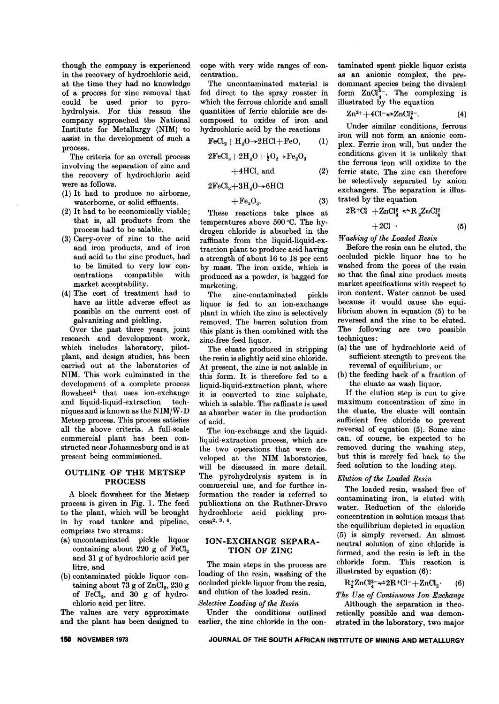though the company is experienced in the recovery of hydrochloric acid, at the time they had no knowledge of a process for zinc removal that could be used prior to pyrohydrolysis. For this reason the company approached the National Institute for Metallurgy (NIM) to assist in the development of such a process.

The criteria for an overall process involving the separation of zinc and the recovery of hydrochloric acid were as follows.

- (1) It had to produce no airborne, waterborne, or solid effluents.
- (2) It had to be economically viable; that is, all products from the process had to be salable.
- (3) Carry-over of zinc to the acid and iron products, and of iron and acid to the zinc product, had to be limited to very low concentrations compatible with market acceptability.
- (4) The cost of treatment had to have as little adverse effect as possible on the current cost of galvanizing and pickling.

Over the past three years, joint research and development work, which includes laboratory, pilotplant, and design studies, has been carried out at the laboratories of NIM. This work culminated in the development of a complete process flowsheet1 that uses ion-exchange and liquid-liquid-extraction techniques and is known as the *NIMjW-D* Metsep process. This process satisfies all the above criteria. A full-scale commercial plant has been constructed near Johannesburg and is at present being commissioned.

#### OUTLINE OF THE METSEP PROCESS

A block flowsheet for the Metsep process is given in Fig. 1. The feed to the plant, which will be brought in by road tanker and pipeline, comprises two streams:

- (a) uncontaminated pickle liquor containing about  $220$  g of FeCl<sub>2</sub> and 31 g of hydrochloric acid per litre, and
- (b) contaminated pickle liquor containing about 73 g of  $\text{ZnCl}_2$ , 230 g of  $FeCl<sub>2</sub>$ , and 30 g of hydrochloric acid per litre.

The values are very approximate and the plant has been designed to

cope with very wide ranges of concentration.

The uncontaminated material is fed direct to the spray roaster in which the ferrous chloride and small quantities of ferric chloride are decomposed to oxides of iron and hydrochloric acid by the reactions

$$
\text{FeCl}_2 + \text{H}_2\text{O} \rightarrow 2\text{HCl} + \text{FeO}, \qquad (1)
$$

$$
2\mathrm{FeCl}_2 + 2\mathrm{H}_2\mathrm{O} + \tfrac{1}{2}\mathrm{O}_2 \rightarrow \mathrm{Fe}_2\mathrm{O}_3
$$

$$
+4\text{HCl, and} \qquad (2)
$$

 $2FeCl<sub>3</sub>+3H<sub>2</sub>O\rightarrow6HCl$ 

$$
+ \mathrm{Fe}_2\mathrm{O}_3. \tag{3}
$$

These reactions take place at temperatures above 500 °C. The hydrogen chloride is absorbed in the raffinate from the liquid-liquid-extraction plant to produce acid having a strength of about 16 to 18 per cent by mass. The iron oxide, which is produced as a powder, is bagged for marketing.

The zinc-contaminated pickle liquor is fed to an ion-exchange plant in which the zinc is selectively removed. The barren solution from this plant is then combined with the zinc-free feed liquor.

The eluate produced in stripping the resin is slightly acid zinc chloride. At present, the zinc is not salable in this form. It is therefore fed to a liquid-liquid-extraction plant, where it is converted to zinc sulphate, which is salable. The raffinate is used as absorber water in the production of acid.

The ion-exchange and the liquidliquid-extraction process, which are the two operations that were developed at the NIM laboratories, will be discussed in more detail. The pyrohydrolysis system is in commercial use, and for further information the reader is referred to publications on the Ruthner-Dravo hydrochloric acid pickling process2, a, 4.

#### ION-EXCHANGE SEPARA-TION OF ZINC

The main steps in the process are loading of the resin, washing of the occluded pickle liquor from the resin, and elution of the loaded resin.

#### *Selective Loading of the Resin*

Under the conditions outlined earlier, the zinc chloride in the contaminated spent pickle liquor exists as an anionic complex, the predominant species being the divalent form  $ZnCl<sub>4</sub><sup>2</sup>$ . The complexing is illustrated by the equation

$$
Zn^{2+} + 4Cl^{-} \rightarrow ZnCl^{2-}_4.
$$
 (4)

Under similar conditions, ferrous iron will not form an anionic complex. Ferric iron will, but under the conditions given it is unlikely that the ferrous iron will oxidize to the ferric state. The zinc can therefore be selectively separated by anion exchangers. The separation is illustrated by the equation

$$
2R^{+}Cl^{-} + ZnCl_{4}^{2-} \Rightarrow R_{2}^{+}ZnCl_{4}^{2-} + 2Cl^{-}.
$$
 (5)

*IVashing of the Loaded Resin*

Before the resin can be eluted, the occluded pickle liquor has to be washed from the pores of the resin so that the final zinc product meets market specifications with respect to iron content. Water cannot be used because it would cause the equilibrium shown in equation (5) to be reversed and the zinc to be eluted. The following are two possible techniques:

- (a) the use of hydrochloric acid of sufficient strength to prevent the reversal of equilibrium, or
- (b) the feeding back of a fraction of the eluate as wash liquor.

If the elution step is run to give maximum concentration of zinc in the eluate, the eluate will contain sufficient free chloride to prevent reversal of equation (5). Some zinc can, of course, be expected to be removed during the washing step, but this is merely fed back to the feed solution to the loading step.

#### *Elution of the Loaded Resin*

The loaded resin, washed free of contaminating iron, is eluted with water. Reduction of the chloride concentration in solution means that the equilibrium depicted in equation (5) is simply reversed. An almost neutral solution of zinc chloride is formed, and the resin is left in the chloride form. This reaction is illustrated by equation (6):

$$
R_2^+ZnCl_4^2 \rightleftharpoons 2R^+Cl^- + ZnCl_2 \cdot (6)
$$

*The Use of Continuous Ion Exchange*

Although the separation is theoretically possible and was demonstrated in the laboratory, two major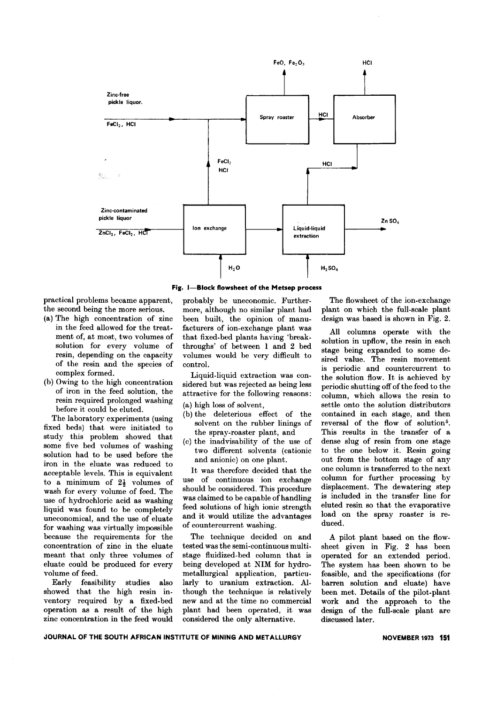

**Fig. I-Block flowsheet of the Metsep process**

practical problems became apparent, probably be uneconomic. Furtherthe second being the more serious. more, although no similar plant had

- of the resin and the species of control.
- resin required prolonged washing before it could be eluted.<br>  $\begin{array}{c} \text{(a) high loss of solvent,} \\ \text{(b) the deleterious effect of the} \end{array}$

The laboratory experiments (using the detections effect of the<br>fixed beds) that were initiated to<br>solvent on the rubber linings of<br>study this problem showed that<br>study the spray-roaster plant, and<br>start (c) the inadvisabil some five bed volumes of washing some nve bed volumes of washing<br>two different solvents (cationic<br>income plant. iron in the eluate was reduced to and aniomic) on one plant.<br>accordional larger This is conjugant. It was therefore decided that the acceptable levels. This is equivalent It was therefore decided that the to a minimum of  $21$  volumes of use of continuous ion exchange to a minimum of  $2\frac{1}{2}$  volumes of use of continuous ion exchange<br>wash for every volume of feed The should be considered. This procedure wash for every volume of feed. The should be considered. This procedure<br>use of hydrochloric acid as washing was claimed to be capable of handling use of hydrochloric acid as washing was claimed to be capable of handling<br>liquid was found to be completely feed solutions of high ionic strength liquid was found to be completely feed solutions of high ionic strength<br>uneconomical and the use of eluste and it would utilize the advantages uneconomical, and the use of eluate and it would utilize the advantage-<br>for washing was virtually impossible of countercurrent washing. for washing was virtually impossible because the requirements for the The technique decided on and concentration of zinc in the eluate tested was the semi-continuous multimeant that only three volumes of stage fluidized-bed column that is eluate could be produced for every being developed at NIM for hydro-

showed that the high resin in- though the technique is relatively ventory required by a fixed-bed new and at the time no commercial operation as a result of the high plant had been operated, it was zinc concentration in the feed would considered the only alternative.

(a) The high concentration of zinc been built, the opinion of manuin the feed allowed for the treat- facturers of ion-exchange plant was ment of, at most, two volumes of that fixed-bed plants having 'breaksolution for every volume of throughs' of between 1 and 2 bed resin, depending on the capacity volumes would be very difficult to

complex formed.<br>(b) Owing to the high concentration sidered but was rejected as being less (b) Owing to the high concentration sidered but was rejected as being less of iron in the feed solution, the structure for the following reasons: attractive for the following reasons:

- 
- 
- 

volume of feed. metallurgical application, particu-Early feasibility studies also larly to uranium extraction. Al-

The flowsheet of the ion-exchange plant on which the full-scale plant design was based is shown in Fig. 2.

All columns operate with the solution in upflow, the resin in each stage being expanded to some desired value. The resin movement is periodic and countercurrent to the solution flow. It is achieved by periodic shutting off of the feed to the column, which allows the resin to settle onto the solution distributors contained in each stage, and then reversal of the flow of solution<sup>5</sup>. This results in the transfer of a dense slug of resin from one stage to the one below it. Resin going out from the bottom stage of any one column is transferred to the next column for further processing by displacement. The dewatering step is included in the transfer line for eluted resin so that the evaporative load on the spray roaster is reduced.

A pilot plant based on the flowsheet given in Fig. 2 has been operated for an extended period. The system has been shown to be feasible, and the specifications (for barren solution and eluate) have been met. Details of the pilot-plant work and the approach to the design of the full-scale plant are discussed later.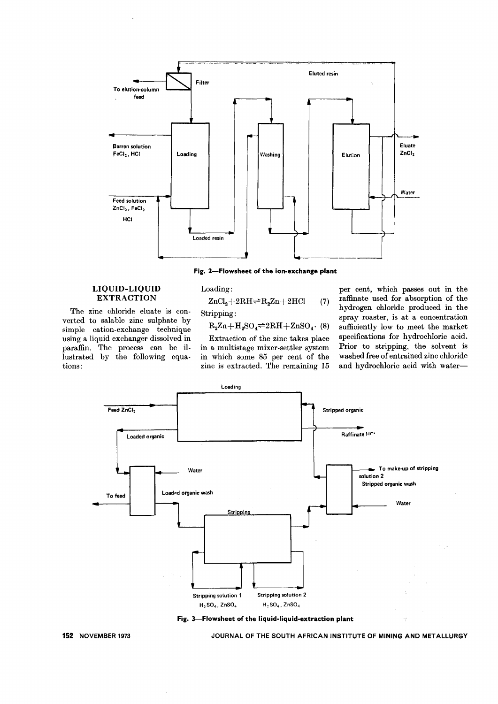

Fig. 2-Flowsheet of the ion-exchange plant

#### LIQUID-LIQUID EXTRACTION

The zinc chloride eluate is converted to salable zinc sulphate by simple cation-exchange technique using a liquid exchanger dissolved in paraffin. The process can be illustrated by the following equations:

$$
Loading:\nZnCl2+2RH2R2Zn+2HCl
$$

$$
{\bf Stripping:}
$$

 $R_2Zn+H_2SO_4 \rightleftharpoons 2RH + ZnSO_4$ . (8)

(7)

Extraction of the zinc takes place in a multistage mixer-settler system in which some 85 per cent of the zinc is extracted. The remaining 15

per cent, which passes out in the raffinate used for absorption of the hydrogen chloride produced in the spray roaster, is at a concentration sufficiently low to meet the market specifications for hydrochloric acid. Prior to stripping, the solvent is washed free of entrained zinc chloride and hydrochloric acid with water-





152 NOVEMBER 1973 JOURNAL OF THE SOUTH AFRICAN INSTITUTE OF MINING AND METALLURGY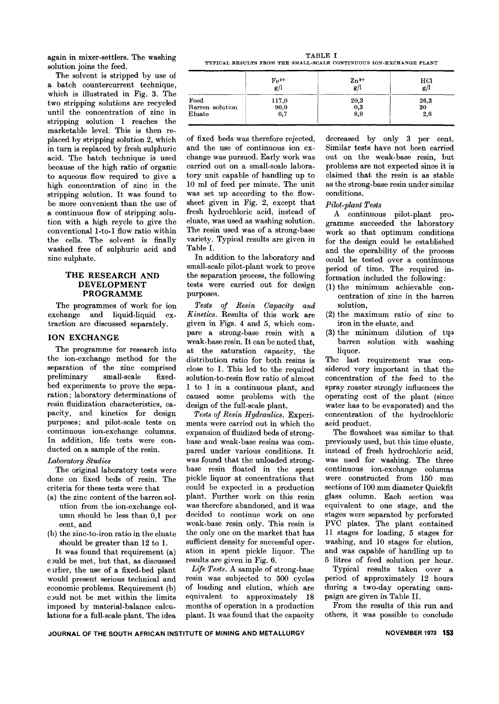again in mixer-settlers. The washing solution joins the feed.

The solvent is stripped by use of a batch countercurrent technique, which is illustrated in Fig. 3. The two stripping solutions are recycled until the concentration of zinc in stripping solution 1 reaches the marketable level. This is then replaced by stripping solution 2, which in turn is replaced by fresh sulphuric acid. The batch technique is used because of the high ratio of organic to aqueous flow required to give a high concentration of zinc in the stripping solution. It was found to be more convenient than the use of a continuous flow of stripping solution with a high reycle to give the conventional 1-to-1 flow ratio within the cells. The solvent is finally washed free of sulphuric acid and zinc sulphate.

#### THE RESEARCH AND **DEVELOPMENT** PROGRAMME

The programmes of work for ion exchange and liquid-liquid extraction are discussed separately.

#### ION EXCHANGE

The programme for research into the ion-exchange method for the separation of the zinc comprised preliminary small-scale fixedbed experiments to prove the separation; laboratory determinations of resin fluidization characteristics, capacity, and kinetics for design purposes; and pilot-scale tests on continuous ion-exchange columns. In addition, life tests were conducted on a sample of the resin.

### *Laboratory Studies*

The original laboratory tests were done on fixed beds of resin. The criteria for these tests were that

- (a) the zinc content of the barren solution from the ion-exchange column should be less than 0,1 per cent, and
- (b) the zinc-to-iron ratio in the eluate should be greater than 12 to 1.

It was found that requirement (a) c)uld be met, but that, as discussed eurlier, the use of a fixed-bed plant would present serious technical and economic problems. Requirement (b) c)uld not be met within the limits imposed by material-balance calculations for a full-scale plant. The idea

| TABLE I                                                            |  |
|--------------------------------------------------------------------|--|
| TYPICAL RESULTS FROM THE SMALL-SCALE CONTINUOUS ION-EXCHANGE PLANT |  |

|                 | $Fe2+$ | $\mathbf{Zn^{2+}}$ | HCl  |
|-----------------|--------|--------------------|------|
|                 | g/l    | $\frac{1}{g}$      | g/   |
| Feed            | 117,0  | 20,3               | 26,3 |
| Barren solution | 90,0   | 0,3                | 30   |
| Eluate          | 0,7    | 8,9                | 2,6  |

of fixed beds was therefore rejected, and the use of continuous ion exchange was pursued. Early work was carried out on a small-scale laboratory unit capable of handling up to 10 ml of feed per minute. The unit was set up according to the flowsheet given in Fig. 2, except that fresh hydrochloric acid, instead of eluate, was used as washing solution. The resin used was of a strong-base variety. Typical results are given in Table I.

In addition to the laboratory and small-scale pilot-plant work to prove the separation process, the following tests were carried out for design purposes.

*Tests of Resin Capacity and Kinetics.* Results of this work are given in Figs. 4 and 5, which compare a strong-base resin with a weak- base resin. It can be noted that, at the saturation capacity, the distribution ratio for both resins is close to 1. This led to the required solution-to-resin flow ratio of almost 1 to 1 in a continuous plant, and caused some problems with the design of the full-scale plant.

*Tests of Resin Hydraulics.* Experiments were carried out in which the expansion of fluidized beds of strongbase and weak-base resins was compared under various conditions. It was found that the unloaded strongbase resin floated in the spent pickle liquor at concentrations that could be expected in a production plant. Further work on this resin was therefore abandoned, and it was decided to continue work on one weak-base resin only. This resin is the only one on the market that has sufficient density for successful oper. ation in spent pickle liquor. The results are given in Fig. 6.

*Life Tests.* A sample of strong-base resin was subjected to 500 cycles of loading and elution, which are equivalent to approximately 18 months of operation in a production plant. It was found that the capacity

decreased by only 3 per cent. Similar tests have not been carried out on the weak-base resin, but problems are not expected since it is claimed that the resin is as stable as the strong-base resin under similar conditions.

#### *Pilot-plant Tests*

A continuous pilot-plant pro. gramme succeeded the laboratory work so that optimum conditions for the design could be established and the operability of the process could be tested over a continuous period of time. The required information included the following:

- (1) the minimum achievable concentration of zinc in the barren solution,
- (2) the maximum ratio of zinc to iron in the eluate, and
- (3) the minimum dilution of tqa barren solution with washing liquor.

Thc last requirement was considered very important in that the concentration of the feed to the spray roaster strongly influences the operating cost of the plant (since water has to be evaporated) and the concentration of the hydrochloric acid product.

The flowsheet was similar to that previously used, but this time eluate, instead of fresh hydrochloric acid, was used for washing. The three continuous ion-exchange columns were constructed from 150 mm sections of 100 mm diameter Quickfit glass column. Each section was equivalent to one stage, and the stages were separated by perforated PVC plates. The plant contained 11 stages for loading, 5 stages for washing, and 10 stages for elution, and was capable of handling up to 5 litres of feed solution per hour.

Typical results taken over a period of approximately 12 hours during a two-day operating campaign are given in Table H.

From the results of this run and others, it was possible to conclude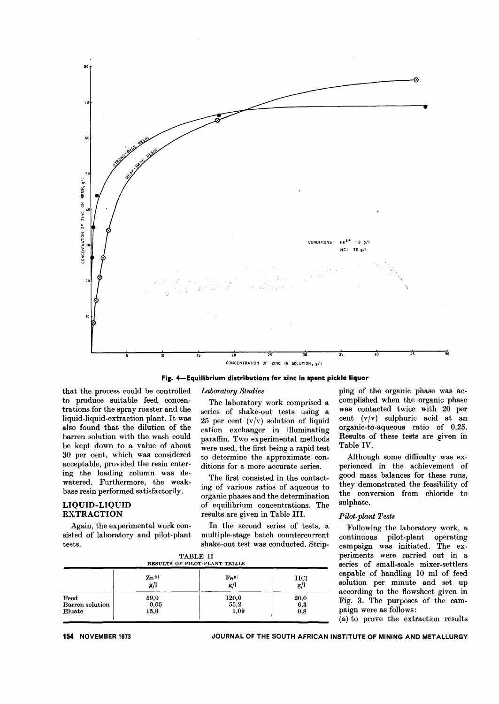

Fig. 4-Equilibrium distributions for zinc in spent pickle liquor

#### *Laboratory Studies*

that the process could be controlled to produce suitable feed concentrations for the spray roaster and the liquid-liquid-extraction plant. It was also found that the dilution of the barren solution with the wash could be kept down to a value of about 30 per cent, which was considered acceptable, provided the resin entering the loading column was dewatered. Furthermore, the weakbase resin performed satisfactorily.

#### LIQUID-LIQUID EXTRACTION

Again, the experimental work consisted of laboratory and pilot-plant tests.

The laboratory work comprised a series of shake-out tests using a 25 per cent  $(v/v)$  solution of liquid cation exchanger in illuminating paraffin. Two experimental methods were used, the first being a rapid test to determine the approximate conditions for a more accurate series.

The first consisted in the contacting of various ratios of aqueous to organic phases and the determination of equilibrium concentrations. The results are given in Table Ill.

In the second series of tests, a multiple-stage batch countercurrent shake-out test was conducted. Strip-

|                 |                    | TABLE II<br>RESULTS OF PILOT-PLANT TRIALS |      |
|-----------------|--------------------|-------------------------------------------|------|
|                 | $\mathbf{Zn^{2+}}$ | $\rm Fe^{2+}$                             | HCI  |
|                 | g/l                | g/l                                       | g/l  |
| Feed            | 59,0               | 120,0                                     | 20,0 |
| Barren solution | 0,05               | 55,2                                      | 6,3  |
| Eluate          | 15,0               | 1,09                                      | 0,8  |

ping of the organic phase was accomplished when the organic phase was contacted twice with 20 per cent (v/v) sulphuric acid at an organic-to-aqueous ratio of 0,25. Results of these tests are given in Table IV.

Although some difficulty was experienced in the achievement of good mass balances for these runs, they demonstrated the feasibility of the conversion from chloride to sulphate.

#### *Pilot-plant Tests*

Following the laboratory work, a continuous pilot-plant operating campaign was initiated. The experiments were carried out in a series of small-scale mixer-settlers capable of handling 10 ml of feed solution per minute and set up according to the flowsheet given in Fig. 3. The purposes of the campaign were as follows:

(a) to prove the extraction results

**154** NOVEMBER 1973 JOURNAL OF THE SOUTH AFRICAN INSTITUTE OF MINING AND METALLURGY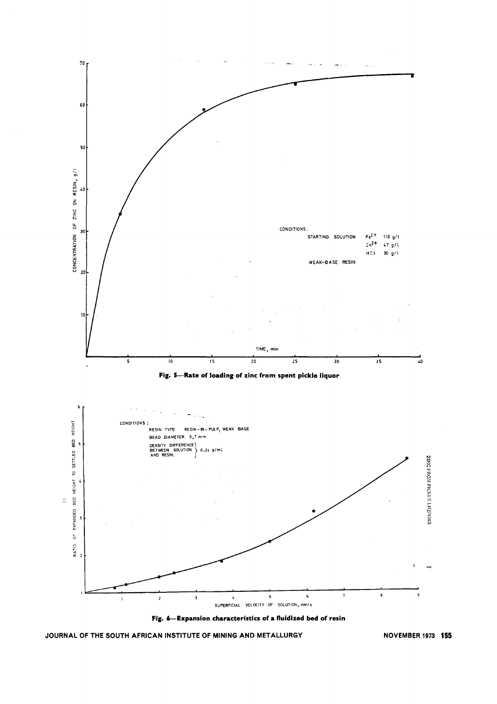



**JOURNAL OF THE SOUTH AFRICAN INSTITUTE OF MINING AND METALLURGY**

**NOVEMBER 1973 155**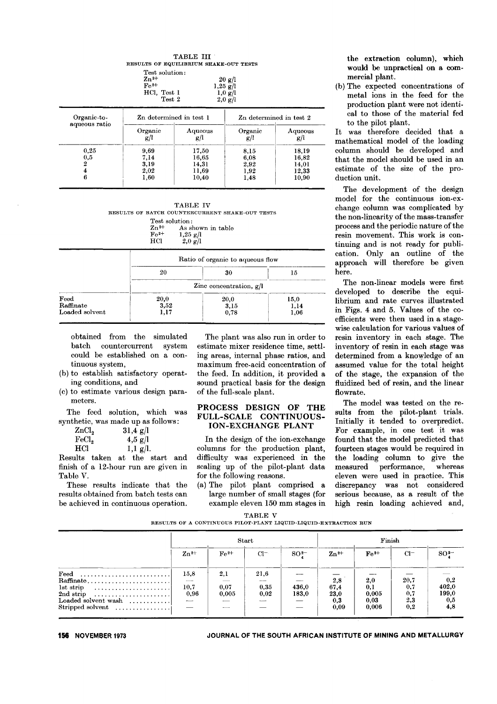| <b>TABLE III</b>                       |  |
|----------------------------------------|--|
| RESULTS OF EQUILIBRIUM SHAKE-OUT TESTS |  |

| Test solution:<br>$\mathbf{Zn^{2+}}$<br>$Fe2+$<br>HCl. Test 1<br>Test 2 | 20 g/l<br>$1,25 \text{ g/l}$<br>$1,0 \text{ g}/1$<br>$2,0 \text{ g/l}$ |  |
|-------------------------------------------------------------------------|------------------------------------------------------------------------|--|
|                                                                         |                                                                        |  |

| Organic-to-   | Zn determined in test 1 |                | Zn determined in test 2 |                         |  |
|---------------|-------------------------|----------------|-------------------------|-------------------------|--|
| aqueous ratio | Organic<br>g/l          | Aqueous<br>g/l | Organic<br>g/l          | Aqueous<br>g/l<br>18,19 |  |
| 0.25          | 9,69                    | 17,50          | 8,15                    |                         |  |
| 0,5           | 7,14                    | 16,65          | 6,08                    | 16,82                   |  |
|               | 3,19                    | 14,31          | 2,92                    | 14,01                   |  |
|               | 2,02                    | 11,69          | 1,92                    | 12,33                   |  |
|               | 1,60                    | 10,40          | 1,48                    | 10,90                   |  |

|           | <b>TABLE IV</b>                                 |
|-----------|-------------------------------------------------|
|           | RESULTS OF BATCH COUNTERCURRENT SHAKE-OUT TESTS |
|           | Test solution:                                  |
| $Zn^{2+}$ | As shown in table                               |
| $Fe2+$    | $1,25 \text{ g/l}$                              |
| нег       | $2.0 \text{ g/l}$                               |

|                                     | Ratio of organic to aqueous flow |                           |                      |  |
|-------------------------------------|----------------------------------|---------------------------|----------------------|--|
|                                     | 20                               | 30                        | 15                   |  |
|                                     |                                  | Zinc concentration, $g/l$ |                      |  |
| Feed<br>Raffinate<br>Loaded solvent | 20,0<br>3,52<br>1,17             | 20,0<br>3,15<br>0,78      | 15,0<br>1,14<br>1,06 |  |

obtained from the simulated batch countercurrent system could be established on a continuous system,

- (b) to establish satisfactory operating conditions, and
- (c) to estimate various design parameters.

The feed solution, which was synthetic, was made up as follows:

| ZnCl <sub>2</sub> | $31,4 \text{ g}/l$ |
|-------------------|--------------------|
| $\mathrm{FeCl}_2$ | $4,5 \text{ g}/l$  |
| HCl               | $1,1 \text{ g/l}.$ |

Results taken at the start and finish of a 12-hour run are given in Table V.

These results indicate that the results obtained from batch tests can be achieved in continuous operation.

The plant was also run in order to estimate mixer residence time, settling areas, internal phase ratios, and maximum free-acid concentration of the feed. In addition, it provided a sound practical basis for the design of the full-scale plant.

#### PROCESS DESIGN OF THE FULL-SCALE CONTINUOUS-ION-EXCHANGE PLANT

In the design of the ion-exchange columns for the production plant, difficulty was experienced in the scaling up of the pilot-plant data for the following reasons.

(a) The pilot plant comprised a large number of small stages (for example eleven 150 mm stages in the extraction column), which would be unpractical on a commercial plant.

(b) The expected concentrations of metal ions in the feed for the production plant were not identical to those of the material fed to the pilot plant.

It was therefore decided that a mathematical model of the loading column should be developed and that the model should be used in an estimate of the size of the production unit.

The development of the design model for the continuous ion-exchange column was complicated by the non-linearity of the mass-transfer process and the periodic nature of the resin movement. This work is continuing and is not ready for publication. Only an outline of the approach will therefore be given here.

The non-linear models were first developed to describe the equilibrium and rate curves illustrated in Figs. 4 and 5. Values of the coefficients were then used in a stagewise calculation for various values of resin inventory in each stage. The inventory of resin in each stage was determined from a knowledge of an assumed value for the total height of the stage, the expansion of the fluidized bed of resin, and the linear flowrate.

The model was tested on the results from the pilot-plant trials. Initially it tended to overpredict. For example, in one test it was found that the model predicted that fourteen stages would be required in the loading column to give the measured performance, whereas eleven were used in practice. This discrepancy was not considered serious because, as a result of the high resin loading achieved and,

|  |  | TABLE V |                                                                 |  |
|--|--|---------|-----------------------------------------------------------------|--|
|  |  |         | RESULTS OF A CONTINUOUS PILOT-PLANT LIQUID-LIQUID-EXTRACTION RU |  |

|                                                                                                       | Start                            |               |              |                 | Finish             |               |            |                                             |
|-------------------------------------------------------------------------------------------------------|----------------------------------|---------------|--------------|-----------------|--------------------|---------------|------------|---------------------------------------------|
|                                                                                                       | $\mathbf{Zn^{2+}}$               | $Fe2+$        | $Cl^-$       | SO <sup>2</sup> | $\mathbf{Zn^{2+}}$ | $Fe2+$        | $Cl^-$     | $SO2-$                                      |
| $\textbf{Feed}$<br>$\operatorname{Raffinate} \ldots \ldots \ldots \ldots \ldots \ldots \ldots \ldots$ | 15,8<br>$\overline{\phantom{a}}$ | 2,1           | 21,6         |                 | 2,8                | 2,0           | 20,7       | $\begin{array}{c} 0,2 \\ 402,0 \end{array}$ |
| lst strip<br>$2nd \text{ strip} \quad \ldots \ldots \ldots \ldots \ldots \ldots$                      | 10,7<br>0,96                     | 0,07<br>0,005 | 0.35<br>0.02 | 436,0<br>183.0  | 67,4<br>23,0       | 0,1<br>0,005  | 0,7<br>0,7 | 199,0                                       |
| Loaded solvent wash<br>$\text{Stripped solvent}$                                                      |                                  | $\sim$        | ----         |                 | 0,3<br>0,09        | 0,03<br>0,006 | 2,3<br>0,2 | $_{0,5}$<br>4,8                             |